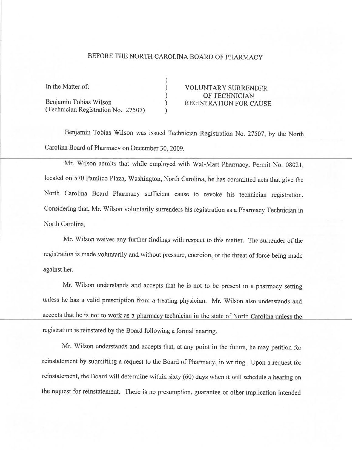## BEFORE THE NORTH CAROLINA BOARD OF PHARMACY

| In the Matter of:                   | <b>VOLUNTARY SURRENDER</b>    |
|-------------------------------------|-------------------------------|
|                                     | OF TECHNICIAN                 |
| Benjamin Tobias Wilson              | <b>REGISTRATION FOR CAUSE</b> |
| (Technician Registration No. 27507) |                               |

Benjamin Tobias Wilson was issued Technician Registration No. 27507, by the North Carolina Board of Pharmacy on December 30, 2009.

Mr. Wilson admits that while employed with Wal-Mart Pharmacy, Pennit No. 08021, located on 570 Pamlico Plaza, Washington, North Carolina, he has committed acts that give the North Carolina Board Pharmacy sufficient cause to revoke his technician registration. Considering that, Mr. Wilson voluntarily surrenders his registration as a Pharmacy Technician in North Carolina.

Mr. Wilson waives any further findings with respect to this matter. The surrender of the registration is made voluntarily and without pressure, coercion, or the threat of force being made against her.

Mr. Wilson understands and accepts that he is not to be present in a pharmacy setting unless he has a valid prescription from a treating physician. Mr. Wilson also understands and accepts that he is not to work as a pharmacy technician in the state of North Carolina unless the registration is reínstated by the Board following a formal hearing.

Mr. Wilson understands and accepts that, at any point in the future, he may petition for reinstatement by submitting a request to the Board of Pharmacy, in writing. Upon a request for reinstatement, the Board will determine within sixty (60) days when it will schedule a hearing on the request for reinstatement. There is no presumption. guarantee or other implication intended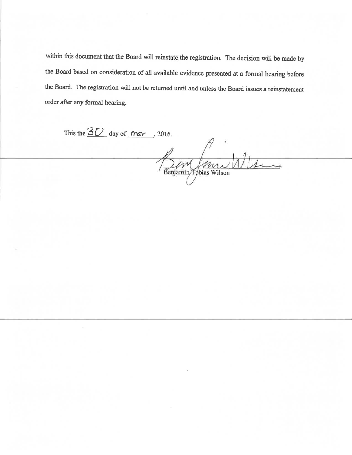within this document that the Board will reinstate the registration. The decision will be made by the Board based on consideration of all available evidence presented at a formal hearing before the Board. The registration will not be returned until and unless the Board issues a reinstatement order after any formal hearing.

This the  $30$  day of  $\frac{m}{x}$ , 2016. Renjamin Tebrias Wilson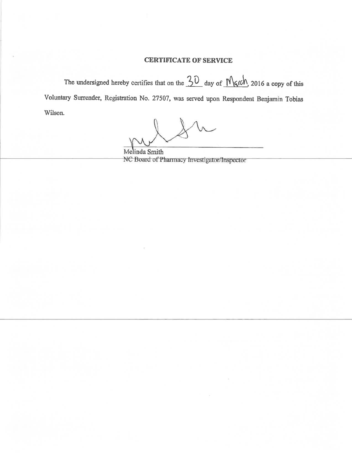## **CERTIFICATE OF SERVICE**

The undersigned hereby certifies that on the  $30$  day of  $M$   $\alpha$  the 2016 a copy of this Voluntary Surrender, Registration No. 27507, was served upon Respondent Benjamin Tobias Wilson.

Melinda Smith NC Board of Pharmacy Investigator/Inspector